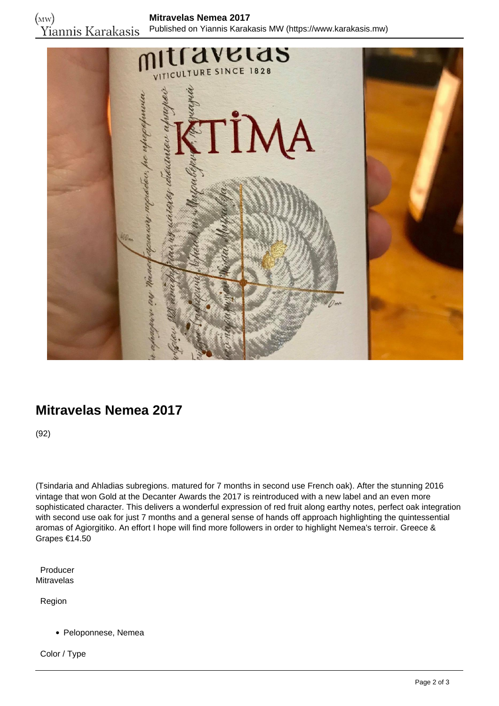

## **Mitravelas Nemea 2017**

(92)

(Tsindaria and Ahladias subregions. matured for 7 months in second use French oak). After the stunning 2016 vintage that won Gold at the Decanter Awards the 2017 is reintroduced with a new label and an even more sophisticated character. This delivers a wonderful expression of red fruit along earthy notes, perfect oak integration with second use oak for just 7 months and a general sense of hands off approach highlighting the quintessential aromas of Agiorgitiko. An effort I hope will find more followers in order to highlight Nemea's terroir. Greece & Grapes €14.50

 Producer Mitravelas

Region

Peloponnese, Nemea

Color / Type